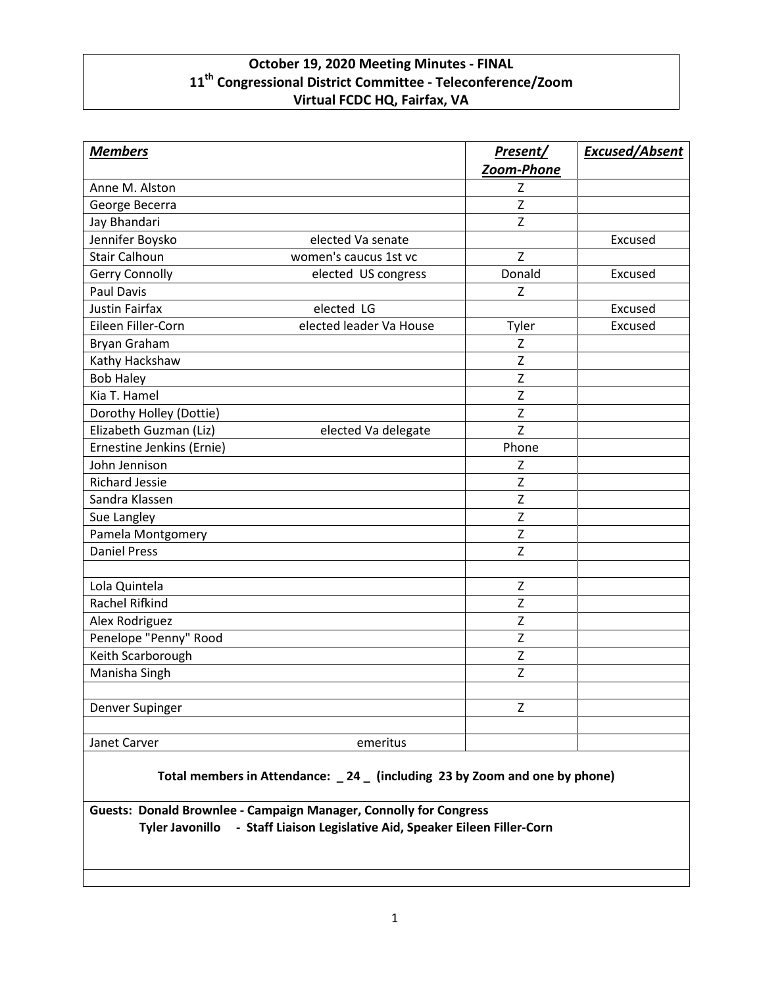## **October 19, 2020 Meeting Minutes - FINAL 11th Congressional District Committee - Teleconference/Zoom Virtual FCDC HQ, Fairfax, VA**

| <b>Members</b>            |                         | Present/       | <b>Excused/Absent</b> |
|---------------------------|-------------------------|----------------|-----------------------|
|                           |                         | Zoom-Phone     |                       |
| Anne M. Alston            |                         | z              |                       |
| George Becerra            |                         | $\mathsf{Z}$   |                       |
| Jay Bhandari              |                         | $\mathsf Z$    |                       |
| Jennifer Boysko           | elected Va senate       |                | Excused               |
| <b>Stair Calhoun</b>      | women's caucus 1st vc   | Z              |                       |
| Gerry Connolly            | elected US congress     | Donald         | Excused               |
| <b>Paul Davis</b>         |                         | Z              |                       |
| <b>Justin Fairfax</b>     | elected LG              |                | Excused               |
| Eileen Filler-Corn        | elected leader Va House | Tyler          | Excused               |
| Bryan Graham              |                         | Z              |                       |
| Kathy Hackshaw            |                         | $\mathsf{Z}$   |                       |
| <b>Bob Haley</b>          |                         | Z              |                       |
| Kia T. Hamel              |                         | Z              |                       |
| Dorothy Holley (Dottie)   |                         | $\overline{z}$ |                       |
| Elizabeth Guzman (Liz)    | elected Va delegate     | $\overline{z}$ |                       |
| Ernestine Jenkins (Ernie) |                         | Phone          |                       |
| John Jennison             |                         | Z              |                       |
| <b>Richard Jessie</b>     |                         | $\mathsf Z$    |                       |
| Sandra Klassen            |                         | $\mathsf Z$    |                       |
| Sue Langley               |                         | $\mathsf Z$    |                       |
| Pamela Montgomery         |                         | $\overline{z}$ |                       |
| <b>Daniel Press</b>       |                         | Z              |                       |
|                           |                         |                |                       |
| Lola Quintela             |                         | $\mathsf Z$    |                       |
| <b>Rachel Rifkind</b>     |                         | $\mathsf{Z}$   |                       |
| Alex Rodriguez            |                         | Z              |                       |
| Penelope "Penny" Rood     |                         | Z              |                       |
| Keith Scarborough         |                         | Z              |                       |
| Manisha Singh             |                         | Z              |                       |
| Denver Supinger           |                         | $\mathsf{Z}$   |                       |
| Janet Carver              | emeritus                |                |                       |

**Total members in Attendance: \_ 24 \_ (including 23 by Zoom and one by phone)**

**Guests: Donald Brownlee - Campaign Manager, Connolly for Congress Tyler Javonillo - Staff Liaison Legislative Aid, Speaker Eileen Filler-Corn**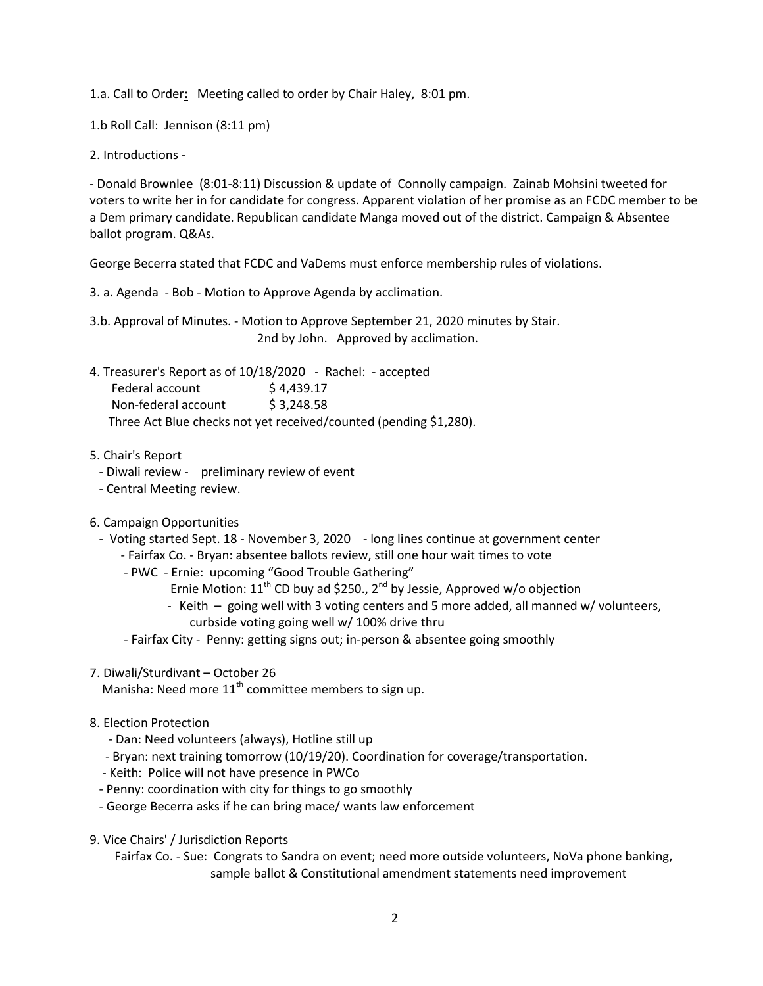1.a. Call to Order**:** Meeting called to order by Chair Haley, 8:01 pm.

1.b Roll Call: Jennison (8:11 pm)

2. Introductions -

- Donald Brownlee (8:01-8:11) Discussion & update of Connolly campaign. Zainab Mohsini tweeted for voters to write her in for candidate for congress. Apparent violation of her promise as an FCDC member to be a Dem primary candidate. Republican candidate Manga moved out of the district. Campaign & Absentee ballot program. Q&As.

George Becerra stated that FCDC and VaDems must enforce membership rules of violations.

3. a. Agenda - Bob - Motion to Approve Agenda by acclimation.

3.b. Approval of Minutes. - Motion to Approve September 21, 2020 minutes by Stair. 2nd by John. Approved by acclimation.

4. Treasurer's Report as of 10/18/2020 - Rachel: - accepted Federal account \$4,439.17 Non-federal account \$ 3,248.58 Three Act Blue checks not yet received/counted (pending \$1,280).

5. Chair's Report

- Diwali review preliminary review of event
- Central Meeting review.
- 6. Campaign Opportunities
	- Voting started Sept. 18 November 3, 2020 long lines continue at government center
		- Fairfax Co. Bryan: absentee ballots review, still one hour wait times to vote
		- PWC Ernie: upcoming "Good Trouble Gathering"
			- Ernie Motion: 11<sup>th</sup> CD buy ad \$250., 2<sup>nd</sup> by Jessie, Approved w/o objection
			- Keith going well with 3 voting centers and 5 more added, all manned w/ volunteers, curbside voting going well w/ 100% drive thru
		- Fairfax City Penny: getting signs out; in-person & absentee going smoothly
- 7. Diwali/Sturdivant October 26

Manisha: Need more  $11<sup>th</sup>$  committee members to sign up.

- 8. Election Protection
	- Dan: Need volunteers (always), Hotline still up
	- Bryan: next training tomorrow (10/19/20). Coordination for coverage/transportation.
	- Keith: Police will not have presence in PWCo
	- Penny: coordination with city for things to go smoothly
	- George Becerra asks if he can bring mace/ wants law enforcement
- 9. Vice Chairs' / Jurisdiction Reports

Fairfax Co. - Sue: Congrats to Sandra on event; need more outside volunteers, NoVa phone banking, sample ballot & Constitutional amendment statements need improvement